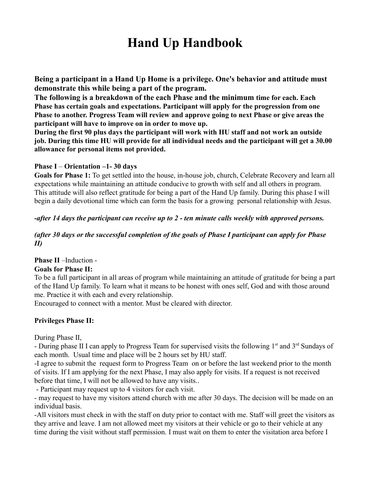**Being a participant in a Hand Up Home is a privilege. One's behavior and attitude must demonstrate this while being a part of the program.**

**The following is a breakdown of the each Phase and the minimum time for each. Each Phase has certain goals and expectations. Participant will apply for the progression from one Phase to another. Progress Team will review and approve going to next Phase or give areas the participant will have to improve on in order to move up.**

**During the first 90 plus days the participant will work with HU staff and not work an outside job. During this time HU will provide for all individual needs and the participant will get a 30.00 allowance for personal items not provided.**

#### **Phase I** – **Orientation –1- 30 days**

**Goals for Phase 1:** To get settled into the house, in-house job, church, Celebrate Recovery and learn all expectations while maintaining an attitude conducive to growth with self and all others in program. This attitude will also reflect gratitude for being a part of the Hand Up family. During this phase I will begin a daily devotional time which can form the basis for a growing personal relationship with Jesus.

#### *-after 14 days the participant can receive up to 2 - ten minute calls weekly with approved persons.*

### *(after 30 days or the successful completion of the goals of Phase I participant can apply for Phase II)*

### **Phase II** –Induction -

### **Goals for Phase II:**

To be a full participant in all areas of program while maintaining an attitude of gratitude for being a part of the Hand Up family. To learn what it means to be honest with ones self, God and with those around me. Practice it with each and every relationship.

Encouraged to connect with a mentor. Must be cleared with director.

### **Privileges Phase II:**

During Phase II,

- During phase II I can apply to Progress Team for supervised visits the following  $1<sup>st</sup>$  and  $3<sup>rd</sup>$  Sundays of each month. Usual time and place will be 2 hours set by HU staff.

-I agree to submit the request form to Progress Team on or before the last weekend prior to the month of visits. If I am applying for the next Phase, I may also apply for visits. If a request is not received before that time, I will not be allowed to have any visits..

- Participant may request up to 4 visitors for each visit.

- may request to have my visitors attend church with me after 30 days. The decision will be made on an individual basis.

-All visitors must check in with the staff on duty prior to contact with me. Staff will greet the visitors as they arrive and leave. I am not allowed meet my visitors at their vehicle or go to their vehicle at any time during the visit without staff permission. I must wait on them to enter the visitation area before I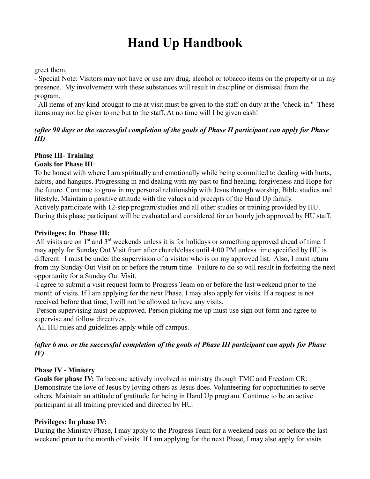#### greet them.

- Special Note: Visitors may not have or use any drug, alcohol or tobacco items on the property or in my presence. My involvement with these substances will result in discipline or dismissal from the program.

- All items of any kind brought to me at visit must be given to the staff on duty at the "check-in." These items may not be given to me but to the staff. At no time will I be given cash!

## *(after 90 days or the successful completion of the goals of Phase II participant can apply for Phase III)*

#### **Phase III**- **Training Goals for Phase III**:

To be honest with where I am spiritually and emotionally while being committed to dealing with hurts, habits, and hangups. Progressing in and dealing with my past to find healing, forgiveness and Hope for the future. Continue to grow in my personal relationship with Jesus through worship, Bible studies and lifestyle. Maintain a positive attitude with the values and precepts of the Hand Up family. Actively participate with 12-step program/studies and all other studies or training provided by HU. During this phase participant will be evaluated and considered for an hourly job approved by HU staff.

### **Privileges: In Phase III:**

All visits are on  $1<sup>st</sup>$  and  $3<sup>rd</sup>$  weekends unless it is for holidays or something approved ahead of time. I may apply for Sunday Out Visit from after church/class until 4:00 PM unless time specified by HU is different. I must be under the supervision of a visitor who is on my approved list. Also, I must return from my Sunday Out Visit on or before the return time. Failure to do so will result in forfeiting the next opportunity for a Sunday Out Visit.

-I agree to submit a visit request form to Progress Team on or before the last weekend prior to the month of visits. If I am applying for the next Phase, I may also apply for visits. If a request is not received before that time, I will not be allowed to have any visits.

-Person supervising must be approved. Person picking me up must use sign out form and agree to supervise and follow directives.

-All HU rules and guidelines apply while off campus.

## *(after 6 mo. or the successful completion of the goals of Phase III participant can apply for Phase IV)*

## **Phase IV - Ministry**

**Goals for phase IV:** To become actively involved in ministry through TMC and Freedom CR. Demonstrate the love of Jesus by loving others as Jesus does. Volunteering for opportunities to serve others. Maintain an attitude of gratitude for being in Hand Up program. Continue to be an active participant in all training provided and directed by HU.

### **Privileges: In phase IV:**

During the Ministry Phase, I may apply to the Progress Team for a weekend pass on or before the last weekend prior to the month of visits. If I am applying for the next Phase, I may also apply for visits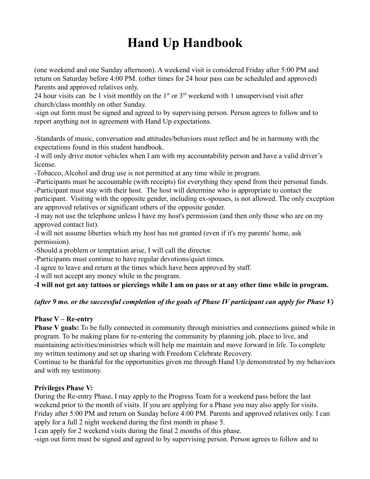(one weekend and one Sunday afternoon). A weekend visit is considered Friday after 5:00 PM and return on Saturday before 4:00 PM. (other times for 24 hour pass can be scheduled and approved) Parents and approved relatives only.

24 hour visits can be 1 visit monthly on the  $1<sup>st</sup>$  or  $3<sup>rd</sup>$  weekend with 1 unsupervised visit after church/class monthly on other Sunday.

-sign out form must be signed and agreed to by supervising person. Person agrees to follow and to report anything not in agreement with Hand Up expectations.

-Standards of music, conversation and attitudes/behaviors must reflect and be in harmony with the expectations found in this student handbook.

-I will only drive motor vehicles when I am with my accountability person and have a valid driver's license.

-Tobacco, Alcohol and drug use is not permitted at any time while in program.

-Participants must be accountable (with receipts) for everything they spend from their personal funds. -Participant must stay with their host. The host will determine who is appropriate to contact the participant. Visiting with the opposite gender, including ex-spouses, is not allowed. The only exception are approved relatives or significant others of the opposite gender.

-I may not use the telephone unless I have my host's permission (and then only those who are on my approved contact list).

-I will not assume liberties which my host has not granted (even if it's my parents' home, ask permission).

-Should a problem or temptation arise, I will call the director.

-Participants must continue to have regular devotions/quiet times.

-I agree to leave and return at the times which have been approved by staff.

-I will not accept any money while in the program.

**-I will not get any tattoos or piercings while I am on pass or at any other time while in program.**

## *(after 9 mo. or the successful completion of the goals of Phase IV participant can apply for Phase V)*

## **Phase V – Re-entry**

**Phase V goals:** To be fully connected in community through ministries and connections gained while in program. To be making plans for re-entering the community by planning job, place to live, and maintaining activities/ministries which will help me maintain and move forward in life. To complete my written testimony and set up sharing with Freedom Celebrate Recovery.

Continue to be thankful for the opportunities given me through Hand Up demonstrated by my behaviors and with my testimony.

## **Privileges Phase V:**

During the Re-entry Phase, I may apply to the Progress Team for a weekend pass before the last weekend prior to the month of visits. If you are applying for a Phase you may also apply for visits. Friday after 5:00 PM and return on Sunday before 4:00 PM. Parents and approved relatives only. I can apply for a full 2 night weekend during the first month in phase 5.

I can apply for 2 weekend visits during the final 2 months of this phase.

-sign out form must be signed and agreed to by supervising person. Person agrees to follow and to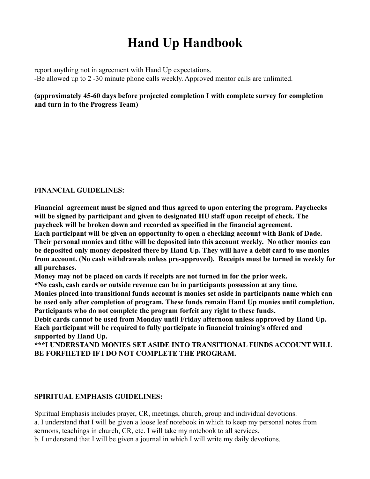report anything not in agreement with Hand Up expectations. -Be allowed up to 2 -30 minute phone calls weekly. Approved mentor calls are unlimited.

### **(approximately 45-60 days before projected completion I with complete survey for completion and turn in to the Progress Team)**

### **FINANCIAL GUIDELINES:**

**Financial agreement must be signed and thus agreed to upon entering the program. Paychecks will be signed by participant and given to designated HU staff upon receipt of check. The paycheck will be broken down and recorded as specified in the financial agreement.**

**Each participant will be given an opportunity to open a checking account with Bank of Dade. Their personal monies and tithe will be deposited into this account weekly. No other monies can be deposited only money deposited there by Hand Up. They will have a debit card to use monies from account. (No cash withdrawals unless pre-approved). Receipts must be turned in weekly for all purchases.**

**Money may not be placed on cards if receipts are not turned in for the prior week.**

**\*No cash, cash cards or outside revenue can be in participants possession at any time.**

**Monies placed into transitional funds account is monies set aside in participants name which can be used only after completion of program. These funds remain Hand Up monies until completion. Participants who do not complete the program forfeit any right to these funds.** 

**Debit cards cannot be used from Monday until Friday afternoon unless approved by Hand Up. Each participant will be required to fully participate in financial training's offered and supported by Hand Up.**

**\*\*\*I UNDERSTAND MONIES SET ASIDE INTO TRANSITIONAL FUNDS ACCOUNT WILL BE FORFIIETED IF I DO NOT COMPLETE THE PROGRAM.**

### **SPIRITUAL EMPHASIS GUIDELINES:**

Spiritual Emphasis includes prayer, CR, meetings, church, group and individual devotions. a. I understand that I will be given a loose leaf notebook in which to keep my personal notes from sermons, teachings in church, CR, etc. I will take my notebook to all services. b. I understand that I will be given a journal in which I will write my daily devotions.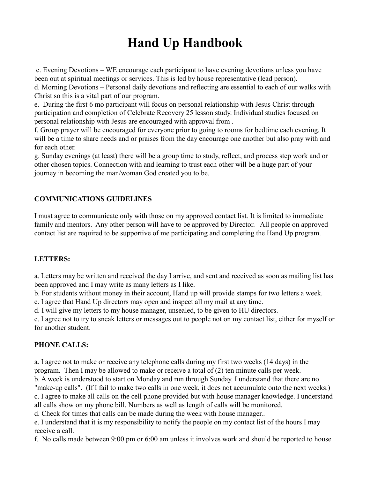c. Evening Devotions – WE encourage each participant to have evening devotions unless you have been out at spiritual meetings or services. This is led by house representative (lead person). d. Morning Devotions – Personal daily devotions and reflecting are essential to each of our walks with Christ so this is a vital part of our program.

e. During the first 6 mo participant will focus on personal relationship with Jesus Christ through participation and completion of Celebrate Recovery 25 lesson study. Individual studies focused on personal relationship with Jesus are encouraged with approval from .

f. Group prayer will be encouraged for everyone prior to going to rooms for bedtime each evening. It will be a time to share needs and or praises from the day encourage one another but also pray with and for each other.

g. Sunday evenings (at least) there will be a group time to study, reflect, and process step work and or other chosen topics. Connection with and learning to trust each other will be a huge part of your journey in becoming the man/woman God created you to be.

## **COMMUNICATIONS GUIDELINES**

I must agree to communicate only with those on my approved contact list. It is limited to immediate family and mentors. Any other person will have to be approved by Director. All people on approved contact list are required to be supportive of me participating and completing the Hand Up program.

## **LETTERS:**

a. Letters may be written and received the day I arrive, and sent and received as soon as mailing list has been approved and I may write as many letters as I like.

b. For students without money in their account, Hand up will provide stamps for two letters a week.

c. I agree that Hand Up directors may open and inspect all my mail at any time.

d. I will give my letters to my house manager, unsealed, to be given to HU directors.

e. I agree not to try to sneak letters or messages out to people not on my contact list, either for myself or for another student.

## **PHONE CALLS:**

a. I agree not to make or receive any telephone calls during my first two weeks (14 days) in the program. Then I may be allowed to make or receive a total of (2) ten minute calls per week.

b. A week is understood to start on Monday and run through Sunday. I understand that there are no "make-up calls". (If I fail to make two calls in one week, it does not accumulate onto the next weeks.)

c. I agree to make all calls on the cell phone provided but with house manager knowledge. I understand all calls show on my phone bill. Numbers as well as length of calls will be monitored.

d. Check for times that calls can be made during the week with house manager..

e. I understand that it is my responsibility to notify the people on my contact list of the hours I may receive a call.

f. No calls made between 9:00 pm or 6:00 am unless it involves work and should be reported to house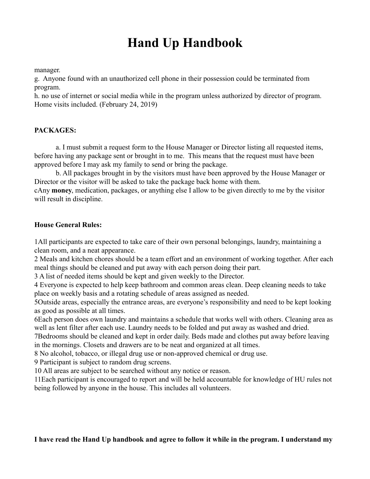manager.

g. Anyone found with an unauthorized cell phone in their possession could be terminated from program.

h. no use of internet or social media while in the program unless authorized by director of program. Home visits included. (February 24, 2019)

### **PACKAGES:**

a. I must submit a request form to the House Manager or Director listing all requested items, before having any package sent or brought in to me. This means that the request must have been approved before I may ask my family to send or bring the package.

b. All packages brought in by the visitors must have been approved by the House Manager or Director or the visitor will be asked to take the package back home with them.

cAny **money**, medication, packages, or anything else I allow to be given directly to me by the visitor will result in discipline.

#### **House General Rules:**

1All participants are expected to take care of their own personal belongings, laundry, maintaining a clean room, and a neat appearance.

2 Meals and kitchen chores should be a team effort and an environment of working together. After each meal things should be cleaned and put away with each person doing their part.

3 A list of needed items should be kept and given weekly to the Director.

4 Everyone is expected to help keep bathroom and common areas clean. Deep cleaning needs to take place on weekly basis and a rotating schedule of areas assigned as needed.

5Outside areas, especially the entrance areas, are everyone's responsibility and need to be kept looking as good as possible at all times.

6Each person does own laundry and maintains a schedule that works well with others. Cleaning area as well as lent filter after each use. Laundry needs to be folded and put away as washed and dried.

7Bedrooms should be cleaned and kept in order daily. Beds made and clothes put away before leaving in the mornings. Closets and drawers are to be neat and organized at all times.

8 No alcohol, tobacco, or illegal drug use or non-approved chemical or drug use.

9 Participant is subject to random drug screens.

10 All areas are subject to be searched without any notice or reason.

11Each participant is encouraged to report and will be held accountable for knowledge of HU rules not being followed by anyone in the house. This includes all volunteers.

### **I have read the Hand Up handbook and agree to follow it while in the program. I understand my**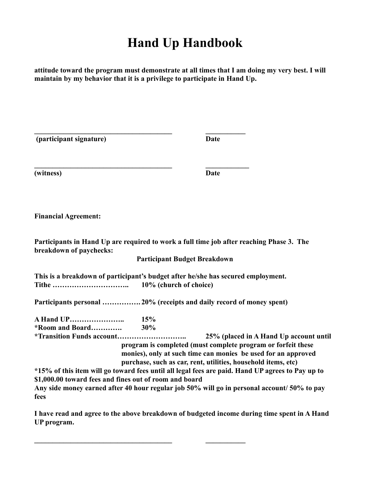**attitude toward the program must demonstrate at all times that I am doing my very best. I will maintain by my behavior that it is a privilege to participate in Hand Up.**

| (participant signature)                                                                   |                                     | Date                                                                                                                                                                                                                                                                                                                             |
|-------------------------------------------------------------------------------------------|-------------------------------------|----------------------------------------------------------------------------------------------------------------------------------------------------------------------------------------------------------------------------------------------------------------------------------------------------------------------------------|
| (witness)                                                                                 |                                     | Date                                                                                                                                                                                                                                                                                                                             |
| <b>Financial Agreement:</b>                                                               |                                     |                                                                                                                                                                                                                                                                                                                                  |
| breakdown of paychecks:                                                                   | <b>Participant Budget Breakdown</b> | Participants in Hand Up are required to work a full time job after reaching Phase 3. The                                                                                                                                                                                                                                         |
| This is a breakdown of participant's budget after he/she has secured employment.<br>Tithe | 10% (church of choice)              |                                                                                                                                                                                                                                                                                                                                  |
| Participants personal 20% (receipts and daily record of money spent)                      |                                     |                                                                                                                                                                                                                                                                                                                                  |
| <b>A Hand UP</b><br>*Room and Board<br><i>*Transition Funds account</i>                   | 15%<br>30%                          | 25% (placed in A Hand Up account until<br>program is completed (must complete program or forfeit these                                                                                                                                                                                                                           |
| \$1,000.00 toward fees and fines out of room and board<br>fees                            |                                     | monies), only at such time can monies be used for an approved<br>purchase, such as car, rent, utilities, household items, etc)<br>*15% of this item will go toward fees until all legal fees are paid. Hand UP agrees to Pay up to<br>Any side money earned after 40 hour regular job 50% will go in personal account/50% to pay |

**I have read and agree to the above breakdown of budgeted income during time spent in A Hand UP program.**

**\_\_\_\_\_\_\_\_\_\_\_\_\_\_\_\_\_\_\_\_\_\_\_\_\_\_\_\_\_\_\_\_\_\_\_\_\_\_ \_\_\_\_\_\_\_\_\_\_\_**